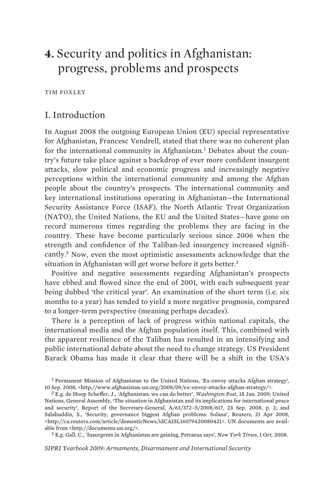# **4.** Security and politics in Afghanistan: progress, problems and prospects

TIM FOXLEY

# I. Introduction

In August 2008 the outgoing European Union (EU) special representative for Afghanistan, Francesc Vendrell, stated that there was no coherent plan for the international community in Afghanistan.<sup>1</sup> Debates about the country's future take place against a backdrop of ever more confident insurgent attacks, slow political and economic progress and increasingly negative perceptions within the international community and among the Afghan people about the country's prospects. The international community and key international institutions operating in Afghanistan—the International Security Assistance Force (ISAF), the North Atlantic Treat Organization (NATO), the United Nations, the EU and the United States—have gone on record numerous times regarding the problems they are facing in the country. These have become particularly serious since 2006 when the strength and confidence of the Taliban-led insurgency increased significantly.<sup>2</sup> Now, even the most optimistic assessments acknowledge that the situation in Afghanistan will get worse before it gets better.<sup>3</sup>

Positive and negative assessments regarding Afghanistan's prospects have ebbed and flowed since the end of 2001, with each subsequent year being dubbed 'the critical year'. An examination of the short term (i.e. six months to a year) has tended to yield a more negative prognosis, compared to a longer-term perspective (meaning perhaps decades).

There is a perception of lack of progress within national capitals, the international media and the Afghan population itself. This, combined with the apparent resilience of the Taliban has resulted in an intensifying and public international debate about the need to change strategy. US President Barack Obama has made it clear that there will be a shift in the USA's

3 E.g. Gall, C., 'Insurgents in Afghanistan are gaining, Petraeus says', *New York Times*, 1 Oct. 2008.

*SIPRI Yearbook 2009: Armaments, Disarmament and International Security* 

<sup>1</sup> Permanent Mission of Afghanistan to the United Nations, 'Ex-envoy attacks Afghan strategy', 10 Sep. 2008, <http://www.afghanistan-un.org/2008/09/ex-envoy-attacks-afghan-strategy/>.

<sup>2</sup> E.g. de Hoop Scheffer, J., 'Afghanistan: we can do better', *Washington Post*, 18 Jan. 2009; United Nations, General Assembly, 'The situation in Afghanistan and its implications for international peace and security', Report of the Secretary-General, A/63/372–S/2008/617, 23 Sep. 2008, p. 2; and Salahuddin, S., 'Security, governance biggest Afghan problems: Solana', Reuters, 21 Apr 2008, <http://ca.reuters.com/article/domesticNews/idCAISL16079420080421>. UN documents are available from <http://documents.un.org/>.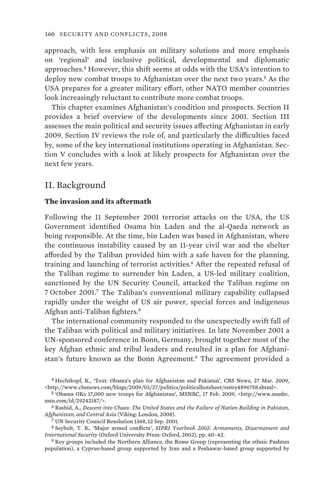approach, with less emphasis on military solutions and more emphasis on 'regional' and inclusive political, developmental and diplomatic approaches.<sup>4</sup> However, this shift seems at odds with the USA's intention to deploy new combat troops to Afghanistan over the next two years.<sup>5</sup> As the USA prepares for a greater military effort, other NATO member countries look increasingly reluctant to contribute more combat troops.

This chapter examines Afghanistan's condition and prospects. Section II provides a brief overview of the developments since 2001. Section III assesses the main political and security issues affecting Afghanistan in early 2009. Section IV reviews the role of, and particularly the difficulties faced by, some of the key international institutions operating in Afghanistan. Section V concludes with a look at likely prospects for Afghanistan over the next few years.

# II. Background

### **The invasion and its aftermath**

Following the 11 September 2001 terrorist attacks on the USA, the US Government identified Osama bin Laden and the al-Qaeda network as being responsible. At the time, bin Laden was based in Afghanistan, where the continuous instability caused by an 11-year civil war and the shelter afforded by the Taliban provided him with a safe haven for the planning, training and launching of terrorist activities.<sup>6</sup> After the repeated refusal of the Taliban regime to surrender bin Laden, a US-led military coalition, sanctioned by the UN Security Council, attacked the Taliban regime on 7 October 2001.<sup>7</sup> The Taliban's conventional military capability collapsed rapidly under the weight of US air power, special forces and indigenous Afghan anti-Taliban fighters.<sup>8</sup>

The international community responded to the unexpectedly swift fall of the Taliban with political and military initiatives. In late November 2001 a UN-sponsored conference in Bonn, Germany, brought together most of the key Afghan ethnic and tribal leaders and resulted in a plan for Afghanistan's future known as the Bonn Agreement.<sup>9</sup> The agreement provided a

<sup>4</sup> Hechtkopf, K., 'Text: Obama's plan for Afghanistan and Pakistan', CBS News, 27 Mar. 2009, <http://www.cbsnews.com/blogs/2009/03/27/politics/politicalhotsheet/entry4896758.shtml>.

<sup>5</sup> 'Obama OKs 17,000 new troops for Afghanistan', MSNBC, 17 Feb. 2009, <http://www.msnbc. msn.com/id/29242187/>.

<sup>6</sup> Rashid, A., *Descent into Chaos: The United States and the Failure of Nation Building in Pakistan, Afghanistan, and Central Asia* (Viking: London, 2008).

<sup>7</sup> UN Security Council Resolution 1368, 12 Sep. 2001.

<sup>8</sup> Seybolt, T. B., 'Major armed conflicts', *SIPRI Yearbook 2002: Armaments, Disarmament and International Security* (Oxford University Press: Oxford, 2002), pp. 40–42.

<sup>9</sup> Key groups included the Northern Alliance, the Rome Group (representing the ethnic Pashtun population), a Cyprus-based group supported by Iran and a Peshawar-based group supported by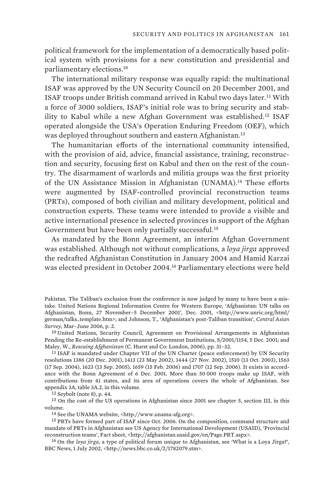political framework for the implementation of a democratically based political system with provisions for a new constitution and presidential and parliamentary elections.<sup>10</sup>

The international military response was equally rapid: the multinational ISAF was approved by the UN Security Council on 20 December 2001, and ISAF troops under British command arrived in Kabul two days later.<sup>11</sup> With a force of 3000 soldiers, ISAF's initial role was to bring security and stability to Kabul while a new Afghan Government was established.<sup>12</sup> ISAF operated alongside the USA's Operation Enduring Freedom (OEF), which was deployed throughout southern and eastern Afghanistan.<sup>13</sup>

The humanitarian efforts of the international community intensified, with the provision of aid, advice, financial assistance, training, reconstruction and security, focusing first on Kabul and then on the rest of the country. The disarmament of warlords and militia groups was the first priority of the UN Assistance Mission in Afghanistan (UNAMA).<sup>14</sup> These efforts were augmented by ISAF-controlled provincial reconstruction teams (PRTs), composed of both civilian and military development, political and construction experts. These teams were intended to provide a visible and active international presence in selected provinces in support of the Afghan Government but have been only partially successful.<sup>15</sup>

As mandated by the Bonn Agreement, an interim Afghan Government was established. Although not without complications, a *loya jirga* approved the redrafted Afghanistan Constitution in January 2004 and Hamid Karzai was elected president in October 2004.<sup>16</sup> Parliamentary elections were held

12 Seybolt (note 8), p. 44.

13 On the cost of the US operations in Afghanistan since 2001 see chapter 5, section III, in this volume.

14 See the UNAMA website, <http://www.unama-afg.org>.

15 PRTs have formed part of ISAF since Oct. 2006. On the composition, command structure and mandate of PRTs in Afghanistan see US Agency for International Development (USAID), 'Provincial reconstruction teams', Fact sheet, <http://afghanistan.usaid.gov/en/Page.PRT.aspx>.

16 On the *loya jirga*, a type of political forum unique to Afghanistan, see 'What is a Loya Jirga?', BBC News, 1 July 2002, <http://news.bbc.co.uk/2/1782079.stm>.

Pakistan. The Taliban's exclusion from the conference is now judged by many to have been a mistake. United Nations Regional Information Centre for Western Europe, 'Afghanistan: UN talks on Afghanistan, Bonn, 27 November–5 December 2001', Dec. 2001, <http://www.unric.org/html/ german/talks\_template.htm>; and Johnson, T., 'Afghanistan's post-Taliban transition', *Central Asian Survey*, Mar–June 2006, p. 2.

<sup>10</sup> United Nations, Security Council, Agreement on Provisional Arrangements in Afghanistan Pending the Re-establishment of Permanent Government Institutions, S/2001/1154, 5 Dec. 2001; and Maley, W., *Rescuing Afghanistan* (C. Hurst and Co: London, 2006), pp. 31–32.

<sup>&</sup>lt;sup>11</sup> ISAF is mandated under Chapter VII of the UN Charter (peace enforcement) by UN Security resolutions 1386 (20 Dec. 2001), 1413 (23 May 2002), 1444 (27 Nov. 2002), 1510 (13 Oct. 2003), 1563 (17 Sep. 2004), 1623 (13 Sep. 2005), 1659 (15 Feb. 2006) and 1707 (12 Sep. 2006). It exists in accordance with the Bonn Agreement of 6 Dec. 2001. More than 50 000 troops make up ISAF, with contributions from 41 states, and its area of operations covers the whole of Afghanistan. See appendix 3A, table 3A.2, in this volume.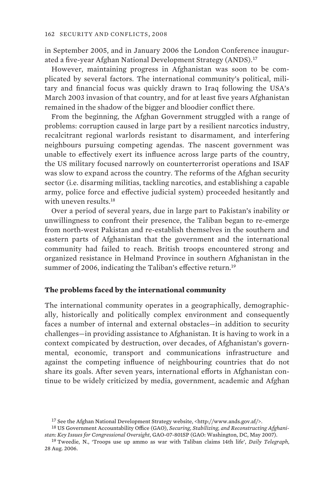in September 2005, and in January 2006 the London Conference inaugurated a five-year Afghan National Development Strategy (ANDS).<sup>17</sup>

However, maintaining progress in Afghanistan was soon to be complicated by several factors. The international community's political, military and financial focus was quickly drawn to Iraq following the USA's March 2003 invasion of that country, and for at least five years Afghanistan remained in the shadow of the bigger and bloodier conflict there.

From the beginning, the Afghan Government struggled with a range of problems: corruption caused in large part by a resilient narcotics industry, recalcitrant regional warlords resistant to disarmament, and interfering neighbours pursuing competing agendas. The nascent government was unable to effectively exert its influence across large parts of the country, the US military focused narrowly on counterterrorist operations and ISAF was slow to expand across the country. The reforms of the Afghan security sector (i.e. disarming militias, tackling narcotics, and establishing a capable army, police force and effective judicial system) proceeded hesitantly and with uneven results.<sup>18</sup>

Over a period of several years, due in large part to Pakistan's inability or unwillingness to confront their presence, the Taliban began to re-emerge from north-west Pakistan and re-establish themselves in the southern and eastern parts of Afghanistan that the government and the international community had failed to reach. British troops encountered strong and organized resistance in Helmand Province in southern Afghanistan in the summer of 2006, indicating the Taliban's effective return.<sup>19</sup>

### **The problems faced by the international community**

The international community operates in a geographically, demographically, historically and politically complex environment and consequently faces a number of internal and external obstacles—in addition to security challenges—in providing assistance to Afghanistan. It is having to work in a context compicated by destruction, over decades, of Afghanistan's governmental, economic, transport and communications infrastructure and against the competing influence of neighbouring countries that do not share its goals. After seven years, international efforts in Afghanistan continue to be widely criticized by media, government, academic and Afghan

<sup>17</sup> See the Afghan National Development Strategy website, <http://www.ands.gov.af/>.

<sup>18</sup> US Government Accountability Office (GAO), *Securing, Stabilizing, and Reconstructing Afghanistan: Key Issues for Congressional Oversight*, GAO-07-801SP (GAO: Washington, DC, May 2007).

<sup>19</sup> Tweedie, N., 'Troops use up ammo as war with Taliban claims 14th life', *Daily Telegraph*, 28 Aug. 2006.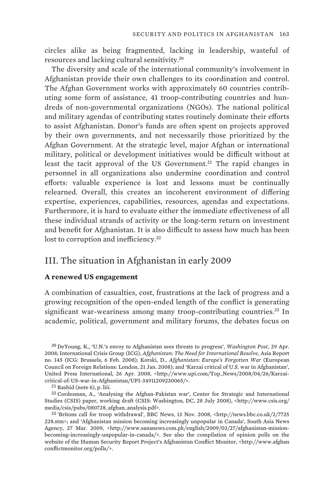circles alike as being fragmented, lacking in leadership, wasteful of resources and lacking cultural sensitivity.<sup>20</sup>

The diversity and scale of the international community's involvement in Afghanistan provide their own challenges to its coordination and control. The Afghan Government works with approximately 60 countries contributing some form of assistance, 41 troop-contributing countries and hundreds of non-governmental organizations (NGOs). The national political and military agendas of contributing states routinely dominate their efforts to assist Afghanistan. Donor's funds are often spent on projects approved by their own governments, and not necessarily those prioritized by the Afghan Government. At the strategic level, major Afghan or international military, political or development initiatives would be difficult without at least the tacit approval of the US Government.<sup>21</sup> The rapid changes in personnel in all organizations also undermine coordination and control efforts: valuable experience is lost and lessons must be continually relearned. Overall, this creates an incoherent environment of differing expertise, experiences, capabilities, resources, agendas and expectations. Furthermore, it is hard to evaluate either the immediate effectiveness of all these individual strands of activity or the long-term return on investment and benefit for Afghanistan. It is also difficult to assess how much has been lost to corruption and inefficiency.<sup>22</sup>

# III. The situation in Afghanistan in early 2009

#### **A renewed US engagement**

A combination of casualties, cost, frustrations at the lack of progress and a growing recognition of the open-ended length of the conflict is generating significant war-weariness among many troop-contributing countries.<sup>23</sup> In academic, political, government and military forums, the debates focus on

20 DeYoung, K., 'U.N.'s envoy to Afghanistan sees threats to progress', *Washington Post*, 29 Apr. 2008; International Crisis Group (ICG), *Afghanistan: The Need for International Resolve*, Asia Report no. 145 (ICG: Brussels, 6 Feb. 2008); Korski, D., *Afghanistan: Europe's Forgotten War* (European Council on Foreign Relations: London, 21 Jan. 2008); and 'Karzai critical of U.S. war in Afghanistan', United Press International, 26 Apr. 2008, <http://www.upi.com/Top\_News/2008/04/26/Karzaicritical-of-US-war-in-Afghanistan/UPI-34911209230065/>.

21 Rashid (note 6), p. liii.

22 Cordesman, A., 'Analysing the Afghan-Pakistan war', Center for Strategic and International Studies (CSIS) paper, working draft (CSIS: Washington, DC, 28 July 2008), <http://www.csis.org/ media/csis/pubs/080728\_afghan\_analysis.pdf>.

23 'Britons call for troop withdrawal', BBC News, 13 Nov. 2008, <http://news.bbc.co.uk/2/7725 228.stm>; and 'Afghanistan mission becoming increasingly unpopular in Canada', South Asia News Agency, 27 Mar. 2009, <http://www.sananews.com.pk/english/2009/03/27/afghanistan-missionbecoming-increasingly-unpopular-in-canada/>. See also the compilation of opinion polls on the website of the Human Security Report Project's Afghanistan Conflict Monitor, <http://www.afghan conflictmonitor.org/polls/>.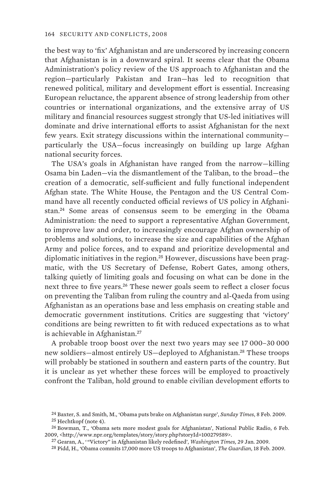the best way to 'fix' Afghanistan and are underscored by increasing concern that Afghanistan is in a downward spiral. It seems clear that the Obama Administration's policy review of the US approach to Afghanistan and the region—particularly Pakistan and Iran—has led to recognition that renewed political, military and development effort is essential. Increasing European reluctance, the apparent absence of strong leadership from other countries or international organizations, and the extensive array of US military and financial resources suggest strongly that US-led initiatives will dominate and drive international efforts to assist Afghanistan for the next few years. Exit strategy discussions within the international community particularly the USA—focus increasingly on building up large Afghan national security forces.

The USA's goals in Afghanistan have ranged from the narrow—killing Osama bin Laden—via the dismantlement of the Taliban, to the broad—the creation of a democratic, self-sufficient and fully functional independent Afghan state. The White House, the Pentagon and the US Central Command have all recently conducted official reviews of US policy in Afghanistan.<sup>24</sup> Some areas of consensus seem to be emerging in the Obama Administration: the need to support a representative Afghan Government, to improve law and order, to increasingly encourage Afghan ownership of problems and solutions, to increase the size and capabilities of the Afghan Army and police forces, and to expand and prioritize developmental and diplomatic initiatives in the region.<sup>25</sup> However, discussions have been pragmatic, with the US Secretary of Defense, Robert Gates, among others, talking quietly of limiting goals and focusing on what can be done in the next three to five years.<sup>26</sup> These newer goals seem to reflect a closer focus on preventing the Taliban from ruling the country and al-Qaeda from using Afghanistan as an operations base and less emphasis on creating stable and democratic government institutions. Critics are suggesting that 'victory' conditions are being rewritten to fit with reduced expectations as to what is achievable in Afghanistan.<sup>27</sup>

A probable troop boost over the next two years may see 17 000–30 000 new soldiers—almost entirely US—deployed to Afghanistan.<sup>28</sup> These troops will probably be stationed in southern and eastern parts of the country. But it is unclear as yet whether these forces will be employed to proactively confront the Taliban, hold ground to enable civilian development efforts to

<sup>24</sup> Baxter, S. and Smith, M., 'Obama puts brake on Afghanistan surge', *Sunday Times*, 8 Feb. 2009. 25 Hechtkopf (note 4).

<sup>26</sup> Bowman, T., 'Obama sets more modest goals for Afghanistan', National Public Radio, 6 Feb. 2009, <http://www.npr.org/templates/story/story.php?storyId=100279589>.

<sup>27</sup> Gearan, A., ' "Victory" in Afghanistan likely redefined', *Washington Times,* 29 Jan. 2009.

<sup>28</sup> Pidd, H., 'Obama commits 17,000 more US troops to Afghanistan', *The Guardian*, 18 Feb. 2009.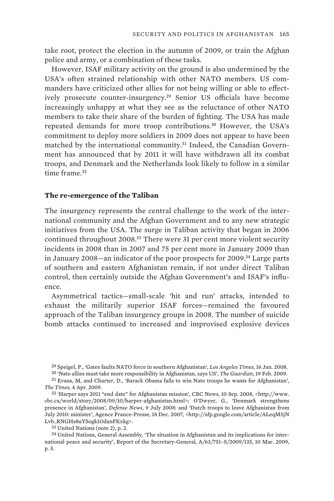take root, protect the election in the autumn of 2009, or train the Afghan police and army, or a combination of these tasks.

However, ISAF military activity on the ground is also undermined by the USA's often strained relationship with other NATO members. US commanders have criticized other allies for not being willing or able to effectively prosecute counter-insurgency.<sup>29</sup> Senior US officials have become increasingly unhappy at what they see as the reluctance of other NATO members to take their share of the burden of fighting. The USA has made repeated demands for more troop contributions.<sup>30</sup> However, the USA's commitment to deploy more soldiers in 2009 does not appear to have been matched by the international community.31 Indeed, the Canadian Government has announced that by 2011 it will have withdrawn all its combat troops, and Denmark and the Netherlands look likely to follow in a similar time frame<sup>32</sup>

#### **The re-emergence of the Taliban**

The insurgency represents the central challenge to the work of the international community and the Afghan Government and to any new strategic initiatives from the USA. The surge in Taliban activity that began in 2006 continued throughout 2008.<sup>33</sup> There were 31 per cent more violent security incidents in 2008 than in 2007 and 75 per cent more in January 2009 than in January 2008—an indicator of the poor prospects for 2009.<sup>34</sup> Large parts of southern and eastern Afghanistan remain, if not under direct Taliban control, then certainly outside the Afghan Government's and ISAF's influence.

Asymmetrical tactics—small-scale 'hit and run' attacks, intended to exhaust the militarily superior ISAF forces—remained the favoured approach of the Taliban insurgency groups in 2008. The number of suicide bomb attacks continued to increased and improvised explosive devices

<sup>29</sup> Speigel, P., 'Gates faults NATO force in southern Afghanistan', *Los Angeles Times*, 16 Jan. 2008. 30 'Nato allies must take more responsibility in Afghanistan, says US', *The Guardian*, 19 Feb. 2009.

<sup>31</sup> Evans, M, and Charter, D., 'Barack Obama fails to win Nato troops he wants for Afghanistan', *The Times*, 4 Apr. 2009.

<sup>32</sup> 'Harper says 2011 "end date" for Afghanistan mission', CBC News, 10 Sep. 2008, <http://www. cbc.ca/world/story/2008/09/10/harper-afghanistan.html>; O'Dwyer, G., 'Denmark strengthens presence in Afghanistan', *Defense News*, 9 July 2008: and 'Dutch troops to leave Afghanistan from July 2010: minister', Agence France-Presse, 18 Dec. 2007, <http://afp.google.com/article/ALeqM5jN Lvb\_RNGHs8uYSogk1OdanFKxkg>.

<sup>33</sup> United Nations (note 2), p. 2.

<sup>34</sup> United Nations, General Assembly, 'The situation in Afghanistan and its implications for international peace and security', Report of the Secretary-General, A/63/751–S/2009/135, 10 Mar. 2009, p. 5.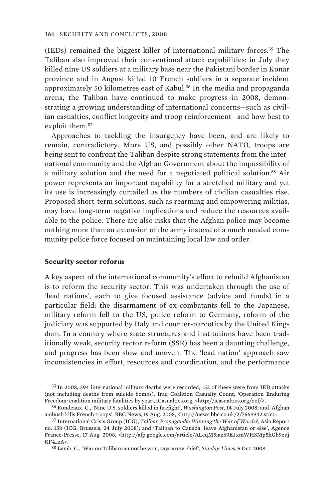(IEDs) remained the biggest killer of international military forces.<sup>35</sup> The Taliban also improved their conventional attack capabilities: in July they killed nine US soldiers at a military base near the Pakistani border in Konar province and in August killed 10 French soldiers in a separate incident approximately 50 kilometres east of Kabul.<sup>36</sup> In the media and propaganda arena, the Taliban have continued to make progress in 2008, demonstrating a growing understanding of international concerns—such as civilian casualties, conflict longevity and troop reinforcement—and how best to exploit them.<sup>37</sup>

Approaches to tackling the insurgency have been, and are likely to remain, contradictory. More US, and possibly other NATO, troops are being sent to confront the Taliban despite strong statements from the international community and the Afghan Government about the impossibility of a military solution and the need for a negotiated political solution.<sup>38</sup> Air power represents an important capability for a stretched military and yet its use is increasingly curtailed as the numbers of civilian casualties rise. Proposed short-term solutions, such as rearming and empowering militias, may have long-term negative implications and reduce the resources available to the police. There are also risks that the Afghan police may become nothing more than an extension of the army instead of a much needed community police force focused on maintaining local law and order.

#### **Security sector reform**

A key aspect of the international community's effort to rebuild Afghanistan is to reform the security sector. This was undertaken through the use of 'lead nations', each to give focused assistance (advice and funds) in a particular field: the disarmament of ex-combatants fell to the Japanese, military reform fell to the US, police reform to Germany, reform of the judiciary was supported by Italy and counter-narcotics by the United Kingdom. In a country where state structures and institutions have been traditionally weak, security rector reform (SSR) has been a daunting challenge, and progress has been slow and uneven. The 'lead nation' approach saw inconsistencies in effort, resources and coordination, and the performance

<sup>35</sup> In 2008, 294 international military deaths were recorded, 152 of these were from IED attacks (not including deaths from suicide bombs). Iraq Coalition Casualty Count, 'Operation Enduring Freedom: coalition military fatalities by year', iCasualties.org, <http://icasualties.org/oef/>.

<sup>36</sup> Rondeaux, C., 'Nine U.S. soldiers killed in firefight', *Washington Post*, 14 July 2008; and 'Afghan ambush kills French troops', BBC News, 19 Aug. 2008, <http://news.bbc.co.uk/2/7569942.stm>.

<sup>37</sup> International Crisis Group (ICG), *Taliban Propaganda: Winning the War of Words?*, Asia Report no. 158 (ICG: Brussels, 24 July 2008); and 'Taliban to Canada: leave Afghanistan or else', Agence France-Presse, 17 Aug. 2008, <http://afp.google.com/article/ALeqM5iaz69EJxmWHSMp5hGb9zuj KF4\_zA>.

<sup>38</sup> Lamb, C., 'War on Taliban cannot be won, says army chief', *Sunday Times*, 5 Oct. 2008.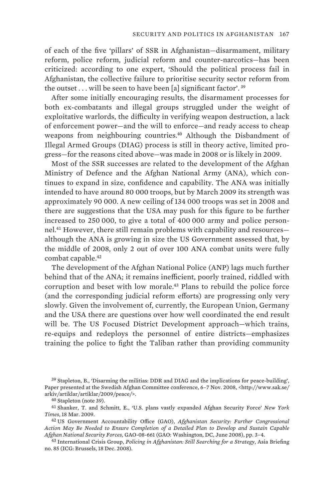of each of the five 'pillars' of SSR in Afghanistan—disarmament, military reform, police reform, judicial reform and counter-narcotics—has been criticized: according to one expert, 'Should the political process fail in Afghanistan, the collective failure to prioritise security sector reform from the outset  $\ldots$  will be seen to have been [a] significant factor'.<sup>39</sup>

After some initially encouraging results, the disarmament processes for both ex-combatants and illegal groups struggled under the weight of exploitative warlords, the difficulty in verifying weapon destruction, a lack of enforcement power—and the will to enforce—and ready access to cheap weapons from neighbouring countries.<sup>40</sup> Although the Disbandment of Illegal Armed Groups (DIAG) process is still in theory active, limited progress—for the reasons cited above—was made in 2008 or is likely in 2009.

Most of the SSR successes are related to the development of the Afghan Ministry of Defence and the Afghan National Army (ANA), which continues to expand in size, confidence and capability. The ANA was initially intended to have around 80 000 troops, but by March 2009 its strength was approximately 90 000. A new ceiling of 134 000 troops was set in 2008 and there are suggestions that the USA may push for this figure to be further increased to 250 000, to give a total of 400 000 army and police personnel.<sup>41</sup> However, there still remain problems with capability and resources although the ANA is growing in size the US Government assessed that, by the middle of 2008, only 2 out of over 100 ANA combat units were fully combat capable.<sup>42</sup>

The development of the Afghan National Police (ANP) lags much further behind that of the ANA; it remains inefficient, poorly trained, riddled with corruption and beset with low morale.<sup>43</sup> Plans to rebuild the police force (and the corresponding judicial reform efforts) are progressing only very slowly. Given the involvement of, currently, the European Union, Germany and the USA there are questions over how well coordinated the end result will be. The US Focused District Development approach—which trains, re-equips and redeploys the personnel of entire districts—emphasizes training the police to fight the Taliban rather than providing community

39 Stapleton, B., 'Disarming the militias: DDR and DIAG and the implications for peace-building', Paper presented at the Swedish Afghan Committee conference, 6-7 Nov. 2008, <http://www.sak.se/ arkiv/artiklar/artiklar/2009/peace/>.

41 Shanker, T. and Schmitt, E., 'U.S. plans vastly expanded Afghan Security Force' *New York Times*, 18 Mar. 2009.

42 US Government Accountability Office (GAO), *Afghanistan Security: Further Congressional Action May Be Needed to Ensure Completion of a Detailed Plan to Develop and Sustain Capable Afghan National Security Forces*, GAO-08-661 (GAO: Washington, DC, June 2008), pp. 3–4.

43 International Crisis Group, *Policing in Afghanistan: Still Searching for a Strategy*, Asia Briefing no. 85 (ICG: Brussels, 18 Dec. 2008).

<sup>40</sup> Stapleton (note 39).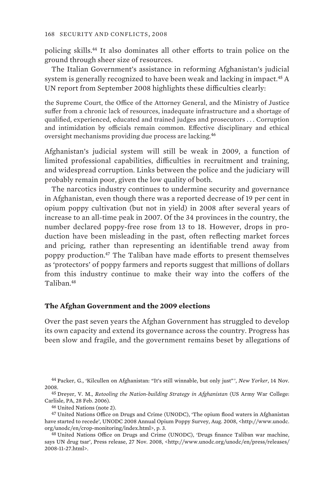policing skills.<sup>44</sup> It also dominates all other efforts to train police on the ground through sheer size of resources.

The Italian Government's assistance in reforming Afghanistan's judicial system is generally recognized to have been weak and lacking in impact.<sup>45</sup> A UN report from September 2008 highlights these difficulties clearly:

the Supreme Court, the Office of the Attorney General, and the Ministry of Justice suffer from a chronic lack of resources, inadequate infrastructure and a shortage of qualified, experienced, educated and trained judges and prosecutors . . . Corruption and intimidation by officials remain common. Effective disciplinary and ethical oversight mechanisms providing due process are lacking.<sup>46</sup>

Afghanistan's judicial system will still be weak in 2009, a function of limited professional capabilities, difficulties in recruitment and training, and widespread corruption. Links between the police and the judiciary will probably remain poor, given the low quality of both.

The narcotics industry continues to undermine security and governance in Afghanistan, even though there was a reported decrease of 19 per cent in opium poppy cultivation (but not in yield) in 2008 after several years of increase to an all-time peak in 2007. Of the 34 provinces in the country, the number declared poppy-free rose from 13 to 18. However, drops in production have been misleading in the past, often reflecting market forces and pricing, rather than representing an identifiable trend away from poppy production.<sup>47</sup> The Taliban have made efforts to present themselves as 'protectors' of poppy farmers and reports suggest that millions of dollars from this industry continue to make their way into the coffers of the Taliban.<sup>48</sup>

#### **The Afghan Government and the 2009 elections**

Over the past seven years the Afghan Government has struggled to develop its own capacity and extend its governance across the country. Progress has been slow and fragile, and the government remains beset by allegations of

44 Packer, G., 'Kilcullen on Afghanistan: "It's still winnable, but only just" ', *New Yorker*, 14 Nov. 2008.

45 Dreyer, V. M., *Retooling the Nation-building Strategy in Afghanistan* (US Army War College: Carlisle, PA, 28 Feb. 2006).

46 United Nations (note 2).

47 United Nations Office on Drugs and Crime (UNODC), 'The opium flood waters in Afghanistan have started to recede', UNODC 2008 Annual Opium Poppy Survey, Aug. 2008, <http://www.unodc. org/unodc/en/crop-monitoring/index.html>, p. 3.

48 United Nations Office on Drugs and Crime (UNODC), 'Drugs finance Taliban war machine, says UN drug tsar', Press release, 27 Nov. 2008, <http://www.unodc.org/unodc/en/press/releases/ 2008-11-27.html>.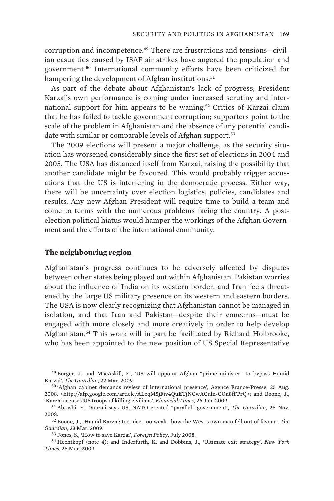corruption and incompetence.<sup>49</sup> There are frustrations and tensions-civilian casualties caused by ISAF air strikes have angered the population and government.<sup>50</sup> International community efforts have been criticized for hampering the development of Afghan institutions.<sup>51</sup>

As part of the debate about Afghanistan's lack of progress, President Karzai's own performance is coming under increased scrutiny and international support for him appears to be waning.<sup>52</sup> Critics of Karzai claim that he has failed to tackle government corruption; supporters point to the scale of the problem in Afghanistan and the absence of any potential candidate with similar or comparable levels of Afghan support.<sup>53</sup>

The 2009 elections will present a major challenge, as the security situation has worsened considerably since the first set of elections in 2004 and 2005. The USA has distanced itself from Karzai, raising the possibility that another candidate might be favoured. This would probably trigger accusations that the US is interfering in the democratic process. Either way, there will be uncertainty over election logistics, policies, candidates and results. Any new Afghan President will require time to build a team and come to terms with the numerous problems facing the country. A postelection political hiatus would hamper the workings of the Afghan Government and the efforts of the international community.

#### **The neighbouring region**

Afghanistan's progress continues to be adversely affected by disputes between other states being played out within Afghanistan. Pakistan worries about the influence of India on its western border, and Iran feels threatened by the large US military presence on its western and eastern borders. The USA is now clearly recognizing that Afghanistan cannot be managed in isolation, and that Iran and Pakistan—despite their concerns—must be engaged with more closely and more creatively in order to help develop Afghanistan.<sup>54</sup> This work will in part be facilitated by Richard Holbrooke, who has been appointed to the new position of US Special Representative

54 Hechtkopf (note 4); and Inderfurth, K. and Dobbins, J., 'Ultimate exit strategy', *New York Times*, 26 Mar. 2009.

<sup>49</sup> Borger, J. and MacAskill, E., 'US will appoint Afghan "prime minister" to bypass Hamid Karzai', *The Guardian*, 22 Mar. 2009.

<sup>50</sup> 'Afghan cabinet demands review of international presence', Agence France-Presse, 25 Aug. 2008, <http://afp.google.com/article/ALeqM5jFiv4QuETjNCwACuln-COn8fFPrQ>; and Boone, J., 'Karzai accuses US troops of killing civilians', *Financial Times*, 26 Jan. 2009.

<sup>51</sup> Abrashi, F., 'Karzai says US, NATO created "parallel" government', *The Guardian*, 26 Nov. 2008.

<sup>52</sup> Boone, J., 'Hamid Karzai: too nice, too weak—how the West's own man fell out of favour', *The Guardian*, 23 Mar. 2009.

<sup>53</sup> Jones, S., 'How to save Karzai', *Foreign Policy*, July 2008.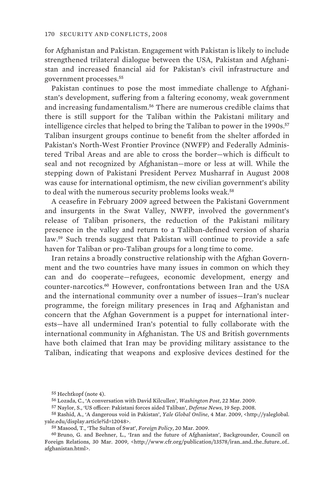for Afghanistan and Pakistan. Engagement with Pakistan is likely to include strengthened trilateral dialogue between the USA, Pakistan and Afghanistan and increased financial aid for Pakistan's civil infrastructure and government processes.<sup>55</sup>

Pakistan continues to pose the most immediate challenge to Afghanistan's development, suffering from a faltering economy, weak government and increasing fundamentalism.<sup>56</sup> There are numerous credible claims that there is still support for the Taliban within the Pakistani military and intelligence circles that helped to bring the Taliban to power in the 1990s.<sup>57</sup> Taliban insurgent groups continue to benefit from the shelter afforded in Pakistan's North-West Frontier Province (NWFP) and Federally Administered Tribal Areas and are able to cross the border—which is difficult to seal and not recognized by Afghanistan—more or less at will. While the stepping down of Pakistani President Pervez Musharraf in August 2008 was cause for international optimism, the new civilian government's ability to deal with the numerous security problems looks weak.<sup>58</sup>

A ceasefire in February 2009 agreed between the Pakistani Government and insurgents in the Swat Valley, NWFP, involved the government's release of Taliban prisoners, the reduction of the Pakistani military presence in the valley and return to a Taliban-defined version of sharia law.<sup>59</sup> Such trends suggest that Pakistan will continue to provide a safe haven for Taliban or pro-Taliban groups for a long time to come.

Iran retains a broadly constructive relationship with the Afghan Government and the two countries have many issues in common on which they can and do cooperate—refugees, economic development, energy and counter-narcotics.<sup>60</sup> However, confrontations between Iran and the USA and the international community over a number of issues—Iran's nuclear programme, the foreign military presences in Iraq and Afghanistan and concern that the Afghan Government is a puppet for international interests—have all undermined Iran's potential to fully collaborate with the international community in Afghanistan. The US and British governments have both claimed that Iran may be providing military assistance to the Taliban, indicating that weapons and explosive devices destined for the

<sup>55</sup> Hechtkopf (note 4).

<sup>56</sup> Lozada, C., 'A conversation with David Kilcullen', *Washington Post*, 22 Mar. 2009.

<sup>57</sup> Naylor, S., 'US officer: Pakistani forces aided Taliban', *Defense News*, 19 Sep. 2008.

<sup>58</sup> Rashid, A., 'A dangerous void in Pakistan', *Yale Global Online*, 4 Mar. 2009, <http://yaleglobal. yale.edu/display.article?id=12048>.

<sup>59</sup> Masood, T., 'The Sultan of Swat', *Foreign Policy*, 20 Mar. 2009.

<sup>60</sup> Bruno, G. and Beehner, L., 'Iran and the future of Afghanistan', Backgrounder, Council on Foreign Relations, 30 Mar. 2009, <http://www.cfr.org/publication/13578/iran\_and\_the\_future\_of\_ afghanistan.html>.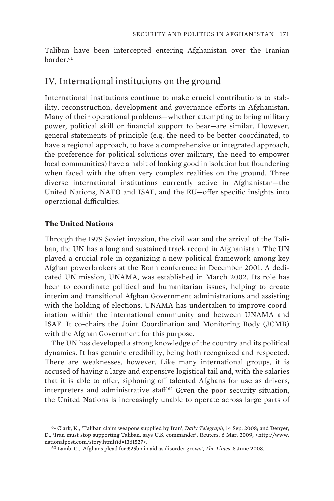Taliban have been intercepted entering Afghanistan over the Iranian border<sup>61</sup>

## IV. International institutions on the ground

International institutions continue to make crucial contributions to stability, reconstruction, development and governance efforts in Afghanistan. Many of their operational problems—whether attempting to bring military power, political skill or financial support to bear—are similar. However, general statements of principle (e.g. the need to be better coordinated, to have a regional approach, to have a comprehensive or integrated approach, the preference for political solutions over military, the need to empower local communities) have a habit of looking good in isolation but floundering when faced with the often very complex realities on the ground. Three diverse international institutions currently active in Afghanistan—the United Nations, NATO and ISAF, and the EU—offer specific insights into operational difficulties.

### **The United Nations**

Through the 1979 Soviet invasion, the civil war and the arrival of the Taliban, the UN has a long and sustained track record in Afghanistan. The UN played a crucial role in organizing a new political framework among key Afghan powerbrokers at the Bonn conference in December 2001. A dedicated UN mission, UNAMA, was established in March 2002. Its role has been to coordinate political and humanitarian issues, helping to create interim and transitional Afghan Government administrations and assisting with the holding of elections. UNAMA has undertaken to improve coordination within the international community and between UNAMA and ISAF. It co-chairs the Joint Coordination and Monitoring Body (JCMB) with the Afghan Government for this purpose.

The UN has developed a strong knowledge of the country and its political dynamics. It has genuine credibility, being both recognized and respected. There are weaknesses, however. Like many international groups, it is accused of having a large and expensive logistical tail and, with the salaries that it is able to offer, siphoning off talented Afghans for use as drivers, interpreters and administrative staff.<sup>62</sup> Given the poor security situation, the United Nations is increasingly unable to operate across large parts of

<sup>61</sup> Clark, K., 'Taliban claim weapons supplied by Iran', *Daily Telegraph*, 14 Sep. 2008; and Denyer, D., 'Iran must stop supporting Taliban, says U.S. commander', Reuters, 6 Mar. 2009, <http://www. nationalpost.com/story.html?id=1361527>.

<sup>62</sup> Lamb, C., 'Afghans plead for £25bn in aid as disorder grows', *The Times*, 8 June 2008.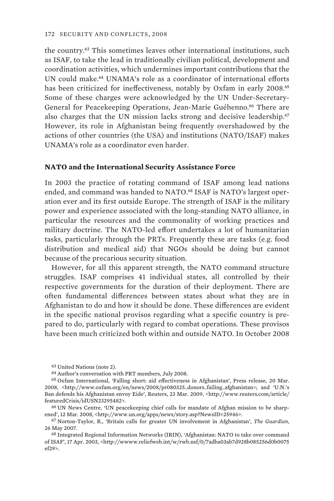the country.<sup>63</sup> This sometimes leaves other international institutions, such as ISAF, to take the lead in traditionally civilian political, development and coordination activities, which undermines important contributions that the UN could make.<sup>64</sup> UNAMA's role as a coordinator of international efforts has been criticized for ineffectiveness, notably by Oxfam in early 2008.<sup>65</sup> Some of these charges were acknowledged by the UN Under-Secretary-General for Peacekeeping Operations, Jean-Marie Guéhenno.<sup>66</sup> There are also charges that the UN mission lacks strong and decisive leadership.<sup>67</sup> However, its role in Afghanistan being frequently overshadowed by the actions of other countries (the USA) and institutions (NATO/ISAF) makes UNAMA's role as a coordinator even harder.

#### **NATO and the International Security Assistance Force**

In 2003 the practice of rotating command of ISAF among lead nations ended, and command was handed to NATO.<sup>68</sup> ISAF is NATO's largest operation ever and its first outside Europe. The strength of ISAF is the military power and experience associated with the long-standing NATO alliance, in particular the resources and the commonality of working practices and military doctrine. The NATO-led effort undertakes a lot of humanitarian tasks, particularly through the PRTs. Frequently these are tasks (e.g. food distribution and medical aid) that NGOs should be doing but cannot because of the precarious security situation.

However, for all this apparent strength, the NATO command structure struggles. ISAF comprises 41 individual states, all controlled by their respective governments for the duration of their deployment. There are often fundamental differences between states about what they are in Afghanistan to do and how it should be done. These differences are evident in the specific national provisos regarding what a specific country is prepared to do, particularly with regard to combat operations. These provisos have been much criticized both within and outside NATO. In October 2008

<sup>63</sup> United Nations (note 2).

<sup>64</sup> Author's conversation with PRT members, July 2008.

<sup>65</sup> Oxfam International, 'Falling short: aid effectiveness in Afghanistan', Press release, 20 Mar. 2008, <http://www.oxfam.org/en/news/2008/pr080325\_donors\_failing\_afghanistan>; and 'U.N.'s Ban defends his Afghanistan envoy Eide', Reuters, 23 Mar. 2009, <http://www.reuters.com/article/ featuredCrisis/idUSN23295482>.

<sup>66</sup> UN News Centre, 'UN peacekeeping chief calls for mandate of Afghan mission to be sharpened', 12 Mar. 2008, <http://www.un.org/apps/news/story.asp?NewsID=25946>.

<sup>67</sup> Norton-Taylor, R., 'Britain calls for greater UN involvement in Afghanistan', *The Guardian*, 26 May 2007.

<sup>68</sup> Integrated Regional Information Networks (IRIN), 'Afghanistan: NATO to take over command of ISAF', 17 Apr. 2003, <http://wwww.reliefweb.int/w/rwb.nsf/0/7adba03ab7d928b085256d0b0075 ef29>.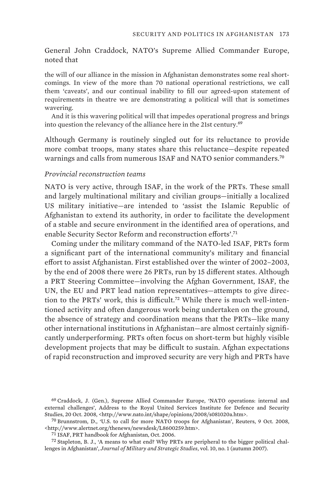General John Craddock, NATO's Supreme Allied Commander Europe, noted that

the will of our alliance in the mission in Afghanistan demonstrates some real shortcomings. In view of the more than 70 national operational restrictions, we call them 'caveats', and our continual inability to fill our agreed-upon statement of requirements in theatre we are demonstrating a political will that is sometimes wavering.

And it is this wavering political will that impedes operational progress and brings into question the relevancy of the alliance here in the 21st century.<sup>69</sup>

Although Germany is routinely singled out for its reluctance to provide more combat troops, many states share this reluctance—despite repeated warnings and calls from numerous ISAF and NATO senior commanders.<sup>70</sup>

#### *Provincial reconstruction teams*

NATO is very active, through ISAF, in the work of the PRTs. These small and largely multinational military and civilian groups—initially a localized US military initiative—are intended to 'assist the Islamic Republic of Afghanistan to extend its authority, in order to facilitate the development of a stable and secure environment in the identified area of operations, and enable Security Sector Reform and reconstruction efforts'.<sup>71</sup>

Coming under the military command of the NATO-led ISAF, PRTs form a significant part of the international community's military and financial effort to assist Afghanistan. First established over the winter of 2002–2003, by the end of 2008 there were 26 PRTs, run by 15 different states. Although a PRT Steering Committee—involving the Afghan Government, ISAF, the UN, the EU and PRT lead nation representatives—attempts to give direction to the PRTs' work, this is difficult.<sup>72</sup> While there is much well-intentioned activity and often dangerous work being undertaken on the ground, the absence of strategy and coordination means that the PRTs—like many other international institutions in Afghanistan—are almost certainly significantly underperforming. PRTs often focus on short-term but highly visible development projects that may be difficult to sustain. Afghan expectations of rapid reconstruction and improved security are very high and PRTs have

71 ISAF, PRT handbook for Afghanistan, Oct. 2006.

72 Stapleton, B. J., 'A means to what end? Why PRTs are peripheral to the bigger political challenges in Afghanistan', *Journal of Military and Strategic Studies*, vol. 10, no. 1 (autumn 2007).

<sup>69</sup> Craddock, J. (Gen.), Supreme Allied Commander Europe, 'NATO operations: internal and external challenges', Address to the Royal United Services Institute for Defence and Security Studies, 20 Oct. 2008, <http://www.nato.int/shape/opinions/2008/s081020a.htm>.

<sup>70</sup> Brunnstrom, D., 'U.S. to call for more NATO troops for Afghanistan', Reuters, 9 Oct. 2008, <http://www.alertnet.org/thenews/newsdesk/L8600259.htm>.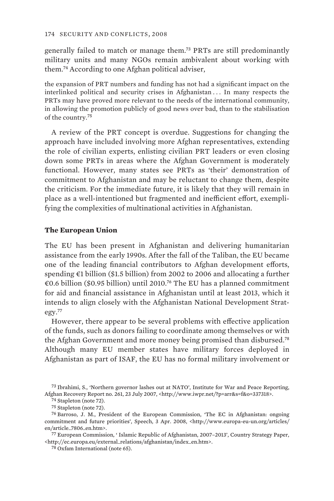generally failed to match or manage them.<sup>73</sup> PRTs are still predominantly military units and many NGOs remain ambivalent about working with them.<sup>74</sup> According to one Afghan political adviser,

the expansion of PRT numbers and funding has not had a significant impact on the interlinked political and security crises in Afghanistan . . . In many respects the PRTs may have proved more relevant to the needs of the international community, in allowing the promotion publicly of good news over bad, than to the stabilisation of the country.<sup>75</sup>

A review of the PRT concept is overdue. Suggestions for changing the approach have included involving more Afghan representatives, extending the role of civilian experts, enlisting civilian PRT leaders or even closing down some PRTs in areas where the Afghan Government is moderately functional. However, many states see PRTs as 'their' demonstration of commitment to Afghanistan and may be reluctant to change them, despite the criticism. For the immediate future, it is likely that they will remain in place as a well-intentioned but fragmented and inefficient effort, exemplifying the complexities of multinational activities in Afghanistan.

#### **The European Union**

The EU has been present in Afghanistan and delivering humanitarian assistance from the early 1990s. After the fall of the Taliban, the EU became one of the leading financial contributors to Afghan development efforts, spending €1 billion (\$1.5 billion) from 2002 to 2006 and allocating a further €0.6 billion (\$0.95 billion) until 2010.<sup>76</sup> The EU has a planned commitment for aid and financial assistance in Afghanistan until at least 2013, which it intends to align closely with the Afghanistan National Development Strategy.<sup>77</sup>

However, there appear to be several problems with effective application of the funds, such as donors failing to coordinate among themselves or with the Afghan Government and more money being promised than disbursed.<sup>78</sup> Although many EU member states have military forces deployed in Afghanistan as part of ISAF, the EU has no formal military involvement or

77 European Commission, ' Islamic Republic of Afghanistan, 2007–2013', Country Strategy Paper, <http://ec.europa.eu/external\_relations/afghanistan/index\_en.htm>.

78 Oxfam International (note 65).

<sup>73</sup> Ibrahimi, S., 'Northern governor lashes out at NATO', Institute for War and Peace Reporting, Afghan Recovery Report no. 261, 23 July 2007, <http://www.iwpr.net/?p=arr&s=f&o=337318>.

<sup>74</sup> Stapleton (note 72).

<sup>75</sup> Stapleton (note 72).

<sup>76</sup> Barroso, J. M., President of the European Commission, 'The EC in Afghanistan: ongoing commitment and future priorities', Speech, 3 Apr. 2008, <http://www.europa-eu-un.org/articles/ en/article\_7806\_en.htm>.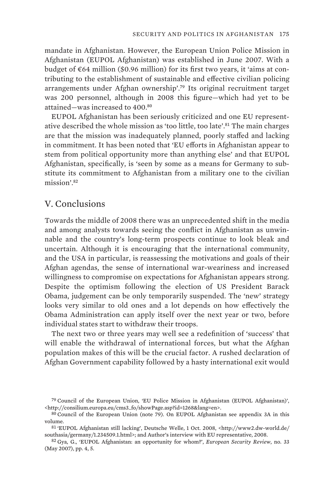mandate in Afghanistan. However, the European Union Police Mission in Afghanistan (EUPOL Afghanistan) was established in June 2007. With a budget of €64 million (\$0.96 million) for its first two years, it 'aims at contributing to the establishment of sustainable and effective civilian policing arrangements under Afghan ownership'.<sup>79</sup> Its original recruitment target was 200 personnel, although in 2008 this figure—which had yet to be attained—was increased to 400.<sup>80</sup>

EUPOL Afghanistan has been seriously criticized and one EU representative described the whole mission as 'too little, too late'.<sup>81</sup> The main charges are that the mission was inadequately planned, poorly staffed and lacking in commitment. It has been noted that 'EU efforts in Afghanistan appear to stem from political opportunity more than anything else' and that EUPOL Afghanistan, specifically, is 'seen by some as a means for Germany to substitute its commitment to Afghanistan from a military one to the civilian mission'.<sup>82</sup>

### V. Conclusions

Towards the middle of 2008 there was an unprecedented shift in the media and among analysts towards seeing the conflict in Afghanistan as unwinnable and the country's long-term prospects continue to look bleak and uncertain. Although it is encouraging that the international community, and the USA in particular, is reassessing the motivations and goals of their Afghan agendas, the sense of international war-weariness and increased willingness to compromise on expectations for Afghanistan appears strong. Despite the optimism following the election of US President Barack Obama, judgement can be only temporarily suspended. The 'new' strategy looks very similar to old ones and a lot depends on how effectively the Obama Administration can apply itself over the next year or two, before individual states start to withdraw their troops.

The next two or three years may well see a redefinition of 'success' that will enable the withdrawal of international forces, but what the Afghan population makes of this will be the crucial factor. A rushed declaration of Afghan Government capability followed by a hasty international exit would

82 Gya, G., 'EUPOL Afghanistan: an opportunity for whom?', *European Security Review*, no. 33 (May 2007), pp. 4, 5.

<sup>79</sup> Council of the European Union, 'EU Police Mission in Afghanistan (EUPOL Afghanistan)', <http://consilium.europa.eu/cms3\_fo/showPage.asp?id=1268&lang=en>.

<sup>80</sup> Council of the European Union (note 79). On EUPOL Afghanistan see appendix 3A in this volume.

<sup>81</sup> 'EUPOL Afghanistan still lacking', Deutsche Welle, 1 Oct. 2008, <http://www2.dw-world.de/ southasia/germany/1.234509.1.html>; and Author's interview with EU representative, 2008.